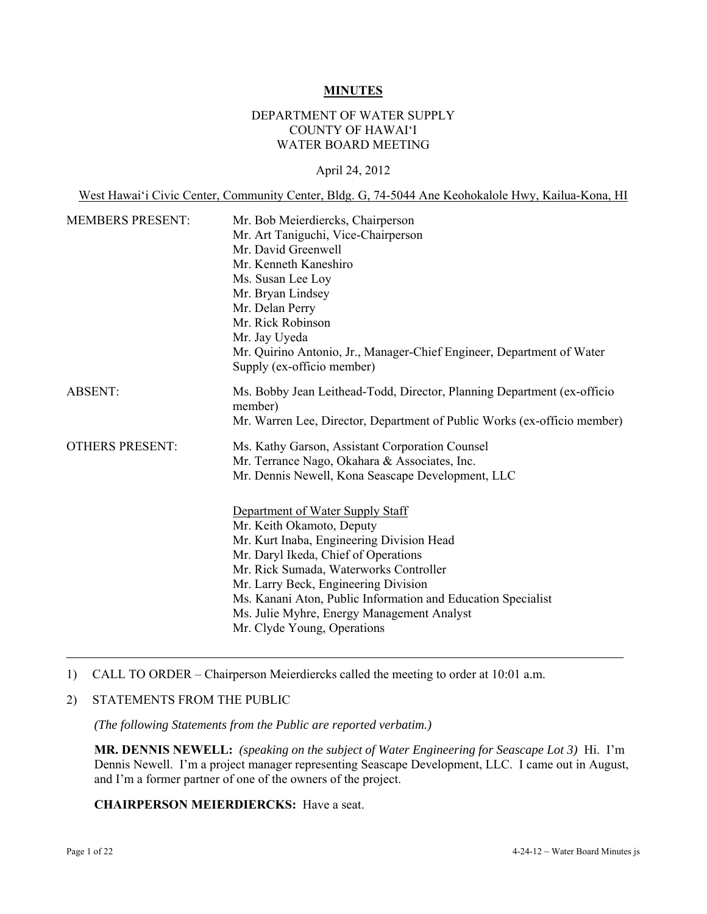#### **MINUTES**

## DEPARTMENT OF WATER SUPPLY COUNTY OF HAWAI'I WATER BOARD MEETING

### April 24, 2012

West Hawai'i Civic Center, Community Center, Bldg. G, 74-5044 Ane Keohokalole Hwy, Kailua-Kona, HI

| <b>MEMBERS PRESENT:</b> | Mr. Bob Meierdiercks, Chairperson<br>Mr. Art Taniguchi, Vice-Chairperson<br>Mr. David Greenwell     |  |  |  |  |
|-------------------------|-----------------------------------------------------------------------------------------------------|--|--|--|--|
|                         |                                                                                                     |  |  |  |  |
|                         |                                                                                                     |  |  |  |  |
|                         | Mr. Kenneth Kaneshiro<br>Ms. Susan Lee Loy                                                          |  |  |  |  |
|                         |                                                                                                     |  |  |  |  |
|                         | Mr. Bryan Lindsey                                                                                   |  |  |  |  |
|                         | Mr. Delan Perry                                                                                     |  |  |  |  |
|                         | Mr. Rick Robinson                                                                                   |  |  |  |  |
|                         | Mr. Jay Uyeda                                                                                       |  |  |  |  |
|                         | Mr. Quirino Antonio, Jr., Manager-Chief Engineer, Department of Water<br>Supply (ex-officio member) |  |  |  |  |
| <b>ABSENT:</b>          | Ms. Bobby Jean Leithead-Todd, Director, Planning Department (ex-officio<br>member)                  |  |  |  |  |
|                         | Mr. Warren Lee, Director, Department of Public Works (ex-officio member)                            |  |  |  |  |
| <b>OTHERS PRESENT:</b>  | Ms. Kathy Garson, Assistant Corporation Counsel                                                     |  |  |  |  |
|                         | Mr. Terrance Nago, Okahara & Associates, Inc.                                                       |  |  |  |  |
|                         | Mr. Dennis Newell, Kona Seascape Development, LLC                                                   |  |  |  |  |
|                         | Department of Water Supply Staff                                                                    |  |  |  |  |
|                         | Mr. Keith Okamoto, Deputy                                                                           |  |  |  |  |
|                         | Mr. Kurt Inaba, Engineering Division Head                                                           |  |  |  |  |
|                         | Mr. Daryl Ikeda, Chief of Operations                                                                |  |  |  |  |
|                         | Mr. Rick Sumada, Waterworks Controller                                                              |  |  |  |  |
|                         | Mr. Larry Beck, Engineering Division                                                                |  |  |  |  |
|                         | Ms. Kanani Aton, Public Information and Education Specialist                                        |  |  |  |  |
|                         | Ms. Julie Myhre, Energy Management Analyst                                                          |  |  |  |  |
|                         | Mr. Clyde Young, Operations                                                                         |  |  |  |  |

## 1) CALL TO ORDER – Chairperson Meierdiercks called the meeting to order at 10:01 a.m.

### 2) STATEMENTS FROM THE PUBLIC

*(The following Statements from the Public are reported verbatim.)* 

**MR. DENNIS NEWELL:** *(speaking on the subject of Water Engineering for Seascape Lot 3)* Hi. I'm Dennis Newell. I'm a project manager representing Seascape Development, LLC. I came out in August, and I'm a former partner of one of the owners of the project.

## **CHAIRPERSON MEIERDIERCKS:** Have a seat.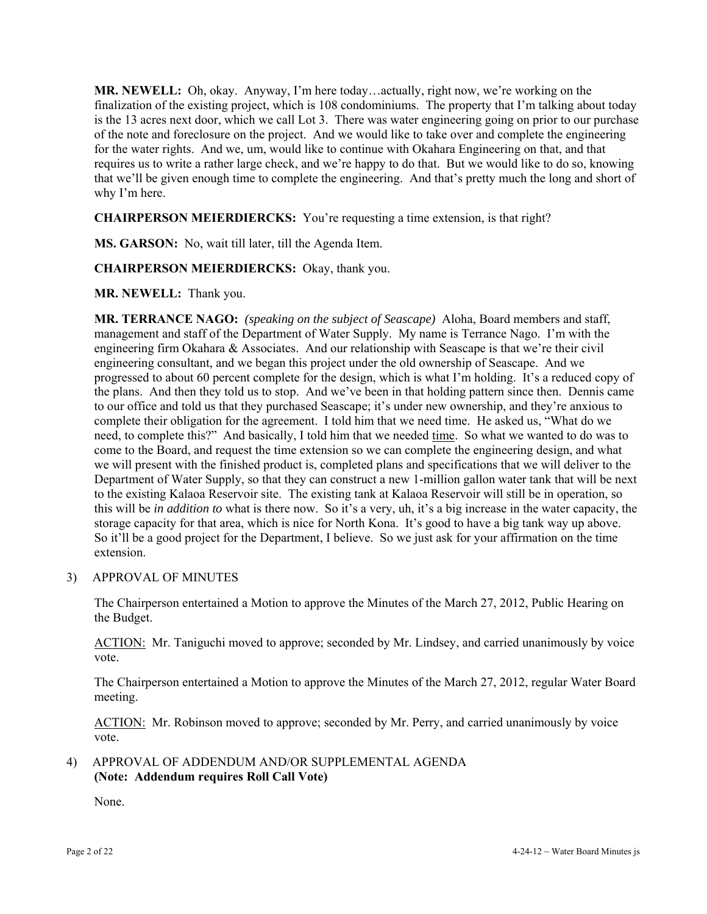**MR. NEWELL:** Oh, okay. Anyway, I'm here today…actually, right now, we're working on the finalization of the existing project, which is 108 condominiums. The property that I'm talking about today is the 13 acres next door, which we call Lot 3. There was water engineering going on prior to our purchase of the note and foreclosure on the project. And we would like to take over and complete the engineering for the water rights. And we, um, would like to continue with Okahara Engineering on that, and that requires us to write a rather large check, and we're happy to do that. But we would like to do so, knowing that we'll be given enough time to complete the engineering. And that's pretty much the long and short of why I'm here.

**CHAIRPERSON MEIERDIERCKS:** You're requesting a time extension, is that right?

**MS. GARSON:** No, wait till later, till the Agenda Item.

## **CHAIRPERSON MEIERDIERCKS:** Okay, thank you.

## **MR. NEWELL:** Thank you.

**MR. TERRANCE NAGO:** *(speaking on the subject of Seascape)* Aloha, Board members and staff, management and staff of the Department of Water Supply. My name is Terrance Nago. I'm with the engineering firm Okahara & Associates. And our relationship with Seascape is that we're their civil engineering consultant, and we began this project under the old ownership of Seascape. And we progressed to about 60 percent complete for the design, which is what I'm holding. It's a reduced copy of the plans. And then they told us to stop. And we've been in that holding pattern since then. Dennis came to our office and told us that they purchased Seascape; it's under new ownership, and they're anxious to complete their obligation for the agreement. I told him that we need time. He asked us, "What do we need, to complete this?" And basically, I told him that we needed time. So what we wanted to do was to come to the Board, and request the time extension so we can complete the engineering design, and what we will present with the finished product is, completed plans and specifications that we will deliver to the Department of Water Supply, so that they can construct a new 1-million gallon water tank that will be next to the existing Kalaoa Reservoir site. The existing tank at Kalaoa Reservoir will still be in operation, so this will be *in addition to* what is there now. So it's a very, uh, it's a big increase in the water capacity, the storage capacity for that area, which is nice for North Kona. It's good to have a big tank way up above. So it'll be a good project for the Department, I believe. So we just ask for your affirmation on the time extension.

3) APPROVAL OF MINUTES

The Chairperson entertained a Motion to approve the Minutes of the March 27, 2012, Public Hearing on the Budget.

ACTION: Mr. Taniguchi moved to approve; seconded by Mr. Lindsey, and carried unanimously by voice vote.

The Chairperson entertained a Motion to approve the Minutes of the March 27, 2012, regular Water Board meeting.

ACTION: Mr. Robinson moved to approve; seconded by Mr. Perry, and carried unanimously by voice vote.

## 4) APPROVAL OF ADDENDUM AND/OR SUPPLEMENTAL AGENDA **(Note: Addendum requires Roll Call Vote)**

None.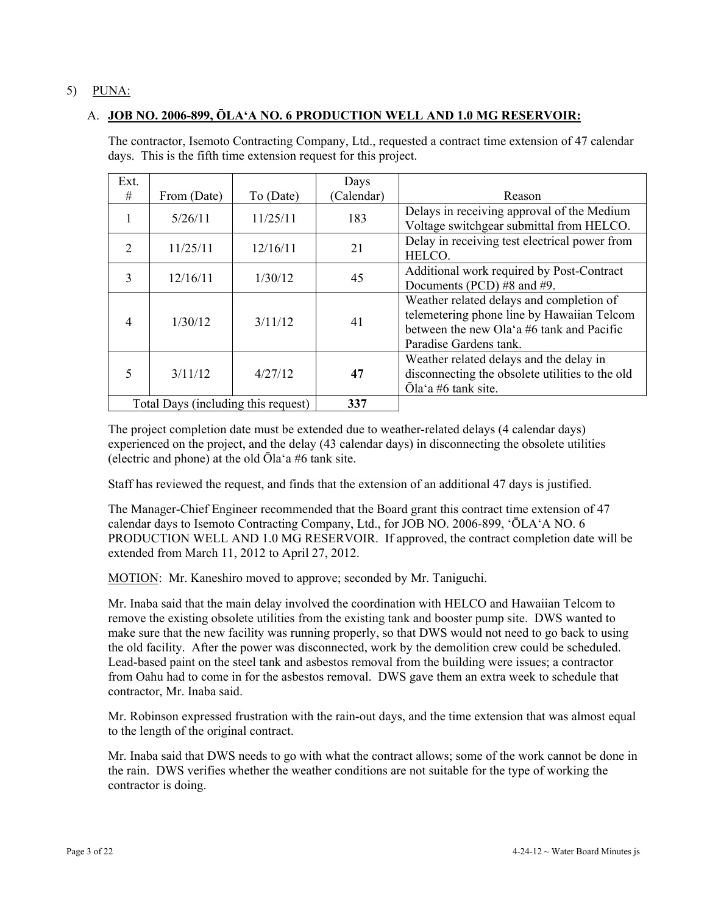## 5) PUNA:

## A. **JOB NO. 2006-899, ŌLA'A NO. 6 PRODUCTION WELL AND 1.0 MG RESERVOIR:**

The contractor, Isemoto Contracting Company, Ltd., requested a contract time extension of 47 calendar days. This is the fifth time extension request for this project.

| Ext.                                |             |           | Days       |                                                                                                                                                               |
|-------------------------------------|-------------|-----------|------------|---------------------------------------------------------------------------------------------------------------------------------------------------------------|
| #                                   | From (Date) | To (Date) | (Calendar) | Reason                                                                                                                                                        |
|                                     | 5/26/11     | 11/25/11  | 183        | Delays in receiving approval of the Medium<br>Voltage switchgear submittal from HELCO.                                                                        |
| $\overline{2}$                      | 11/25/11    | 12/16/11  | 21         | Delay in receiving test electrical power from<br>HELCO.                                                                                                       |
| 3                                   | 12/16/11    | 1/30/12   | 45         | Additional work required by Post-Contract<br>Documents (PCD) #8 and #9.                                                                                       |
| $\overline{4}$                      | 1/30/12     | 3/11/12   | 41         | Weather related delays and completion of<br>telemetering phone line by Hawaiian Telcom<br>between the new Ola'a #6 tank and Pacific<br>Paradise Gardens tank. |
| 5                                   | 3/11/12     | 4/27/12   | 47         | Weather related delays and the delay in<br>disconnecting the obsolete utilities to the old<br>Ōla'a #6 tank site.                                             |
| Total Days (including this request) |             | 337       |            |                                                                                                                                                               |

The project completion date must be extended due to weather-related delays (4 calendar days) experienced on the project, and the delay (43 calendar days) in disconnecting the obsolete utilities (electric and phone) at the old Ōla'a #6 tank site.

Staff has reviewed the request, and finds that the extension of an additional 47 days is justified.

The Manager-Chief Engineer recommended that the Board grant this contract time extension of 47 calendar days to Isemoto Contracting Company, Ltd., for JOB NO. 2006-899, 'ŌLA'A NO. 6 PRODUCTION WELL AND 1.0 MG RESERVOIR. If approved, the contract completion date will be extended from March 11, 2012 to April 27, 2012.

MOTION: Mr. Kaneshiro moved to approve; seconded by Mr. Taniguchi.

Mr. Inaba said that the main delay involved the coordination with HELCO and Hawaiian Telcom to remove the existing obsolete utilities from the existing tank and booster pump site. DWS wanted to make sure that the new facility was running properly, so that DWS would not need to go back to using the old facility. After the power was disconnected, work by the demolition crew could be scheduled. Lead-based paint on the steel tank and asbestos removal from the building were issues; a contractor from Oahu had to come in for the asbestos removal. DWS gave them an extra week to schedule that contractor, Mr. Inaba said.

Mr. Robinson expressed frustration with the rain-out days, and the time extension that was almost equal to the length of the original contract.

Mr. Inaba said that DWS needs to go with what the contract allows; some of the work cannot be done in the rain. DWS verifies whether the weather conditions are not suitable for the type of working the contractor is doing.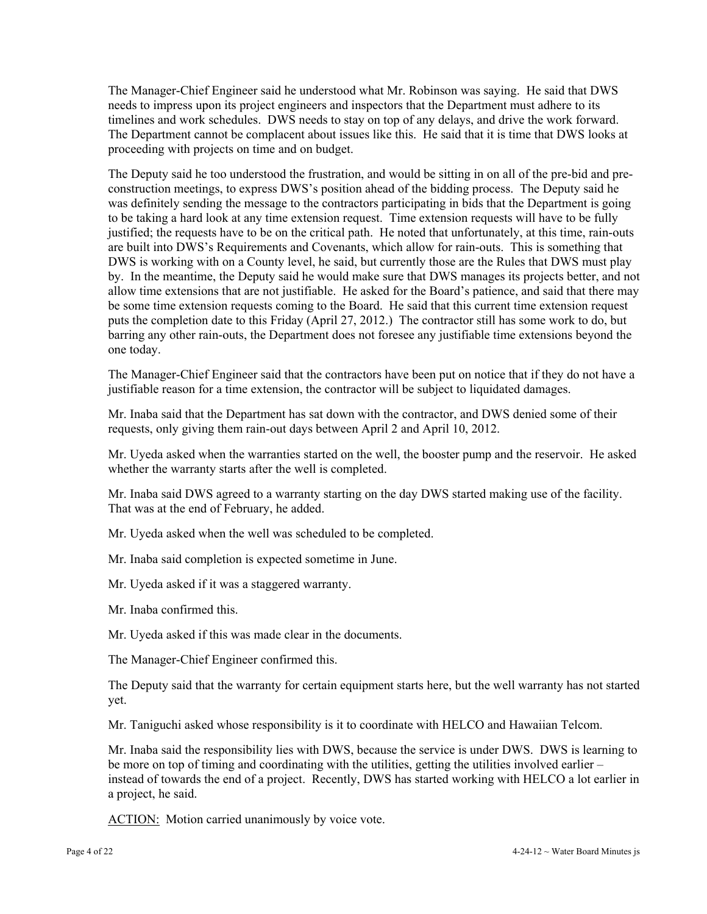The Manager-Chief Engineer said he understood what Mr. Robinson was saying. He said that DWS needs to impress upon its project engineers and inspectors that the Department must adhere to its timelines and work schedules. DWS needs to stay on top of any delays, and drive the work forward. The Department cannot be complacent about issues like this. He said that it is time that DWS looks at proceeding with projects on time and on budget.

The Deputy said he too understood the frustration, and would be sitting in on all of the pre-bid and preconstruction meetings, to express DWS's position ahead of the bidding process. The Deputy said he was definitely sending the message to the contractors participating in bids that the Department is going to be taking a hard look at any time extension request. Time extension requests will have to be fully justified; the requests have to be on the critical path. He noted that unfortunately, at this time, rain-outs are built into DWS's Requirements and Covenants, which allow for rain-outs. This is something that DWS is working with on a County level, he said, but currently those are the Rules that DWS must play by. In the meantime, the Deputy said he would make sure that DWS manages its projects better, and not allow time extensions that are not justifiable. He asked for the Board's patience, and said that there may be some time extension requests coming to the Board. He said that this current time extension request puts the completion date to this Friday (April 27, 2012.) The contractor still has some work to do, but barring any other rain-outs, the Department does not foresee any justifiable time extensions beyond the one today.

The Manager-Chief Engineer said that the contractors have been put on notice that if they do not have a justifiable reason for a time extension, the contractor will be subject to liquidated damages.

Mr. Inaba said that the Department has sat down with the contractor, and DWS denied some of their requests, only giving them rain-out days between April 2 and April 10, 2012.

Mr. Uyeda asked when the warranties started on the well, the booster pump and the reservoir. He asked whether the warranty starts after the well is completed.

Mr. Inaba said DWS agreed to a warranty starting on the day DWS started making use of the facility. That was at the end of February, he added.

Mr. Uyeda asked when the well was scheduled to be completed.

Mr. Inaba said completion is expected sometime in June.

Mr. Uyeda asked if it was a staggered warranty.

Mr. Inaba confirmed this.

Mr. Uyeda asked if this was made clear in the documents.

The Manager-Chief Engineer confirmed this.

The Deputy said that the warranty for certain equipment starts here, but the well warranty has not started yet.

Mr. Taniguchi asked whose responsibility is it to coordinate with HELCO and Hawaiian Telcom.

Mr. Inaba said the responsibility lies with DWS, because the service is under DWS. DWS is learning to be more on top of timing and coordinating with the utilities, getting the utilities involved earlier – instead of towards the end of a project. Recently, DWS has started working with HELCO a lot earlier in a project, he said.

ACTION: Motion carried unanimously by voice vote.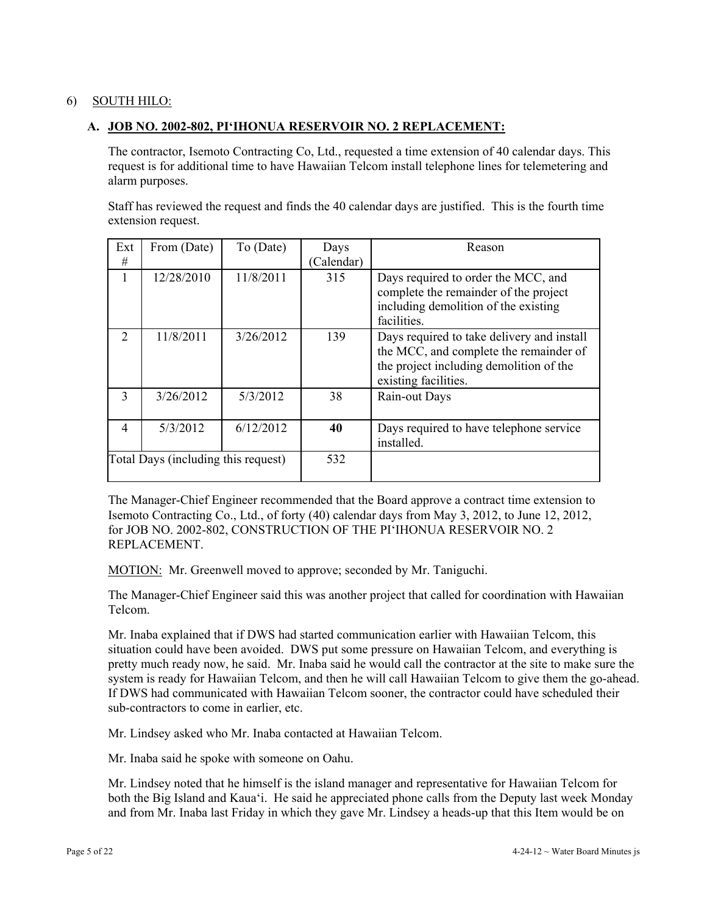# 6) SOUTH HILO:

## **A. JOB NO. 2002-802, PI'IHONUA RESERVOIR NO. 2 REPLACEMENT:**

The contractor, Isemoto Contracting Co, Ltd., requested a time extension of 40 calendar days. This request is for additional time to have Hawaiian Telcom install telephone lines for telemetering and alarm purposes.

Staff has reviewed the request and finds the 40 calendar days are justified. This is the fourth time extension request.

| Ext                                 | From (Date) | To (Date) | Days       | Reason                                                                                                                                                  |
|-------------------------------------|-------------|-----------|------------|---------------------------------------------------------------------------------------------------------------------------------------------------------|
| #                                   |             |           | (Calendar) |                                                                                                                                                         |
|                                     | 12/28/2010  | 11/8/2011 | 315        | Days required to order the MCC, and<br>complete the remainder of the project<br>including demolition of the existing<br>facilities.                     |
| $\mathcal{D}_{\mathcal{L}}$         | 11/8/2011   | 3/26/2012 | 139        | Days required to take delivery and install<br>the MCC, and complete the remainder of<br>the project including demolition of the<br>existing facilities. |
| 3                                   | 3/26/2012   | 5/3/2012  | 38         | Rain-out Days                                                                                                                                           |
| 4                                   | 5/3/2012    | 6/12/2012 | 40         | Days required to have telephone service<br>installed.                                                                                                   |
| Total Days (including this request) |             | 532       |            |                                                                                                                                                         |

The Manager-Chief Engineer recommended that the Board approve a contract time extension to Isemoto Contracting Co., Ltd., of forty (40) calendar days from May 3, 2012, to June 12, 2012, for JOB NO. 2002-802, CONSTRUCTION OF THE PI'IHONUA RESERVOIR NO. 2 REPLACEMENT.

MOTION: Mr. Greenwell moved to approve; seconded by Mr. Taniguchi.

The Manager-Chief Engineer said this was another project that called for coordination with Hawaiian Telcom.

Mr. Inaba explained that if DWS had started communication earlier with Hawaiian Telcom, this situation could have been avoided. DWS put some pressure on Hawaiian Telcom, and everything is pretty much ready now, he said. Mr. Inaba said he would call the contractor at the site to make sure the system is ready for Hawaiian Telcom, and then he will call Hawaiian Telcom to give them the go-ahead. If DWS had communicated with Hawaiian Telcom sooner, the contractor could have scheduled their sub-contractors to come in earlier, etc.

Mr. Lindsey asked who Mr. Inaba contacted at Hawaiian Telcom.

Mr. Inaba said he spoke with someone on Oahu.

Mr. Lindsey noted that he himself is the island manager and representative for Hawaiian Telcom for both the Big Island and Kaua'i. He said he appreciated phone calls from the Deputy last week Monday and from Mr. Inaba last Friday in which they gave Mr. Lindsey a heads-up that this Item would be on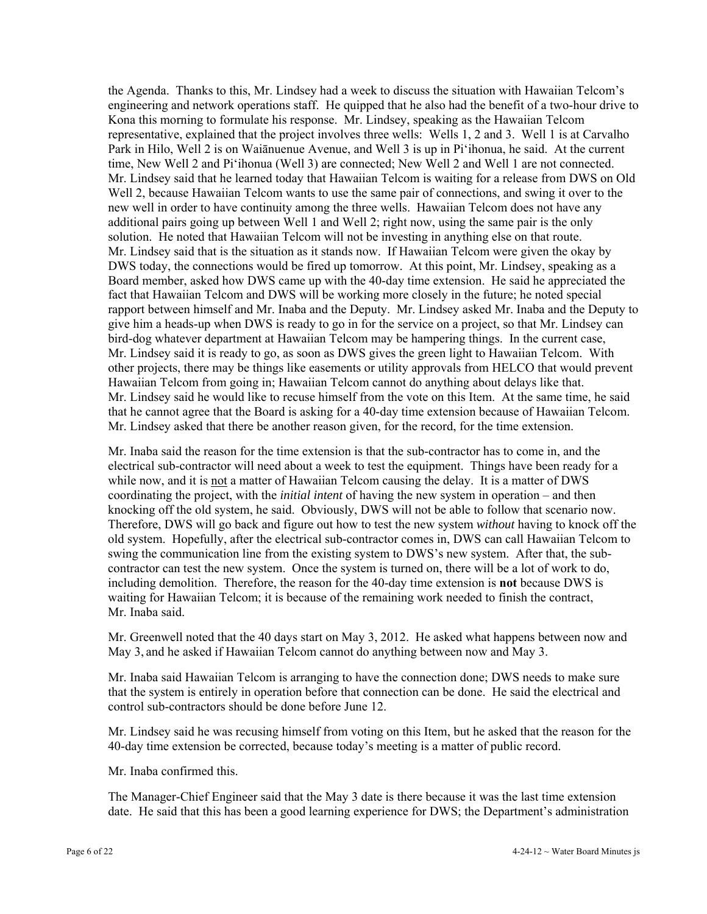the Agenda. Thanks to this, Mr. Lindsey had a week to discuss the situation with Hawaiian Telcom's engineering and network operations staff. He quipped that he also had the benefit of a two-hour drive to Kona this morning to formulate his response. Mr. Lindsey, speaking as the Hawaiian Telcom representative, explained that the project involves three wells: Wells 1, 2 and 3. Well 1 is at Carvalho Park in Hilo, Well 2 is on Waiānuenue Avenue, and Well 3 is up in Pi'ihonua, he said. At the current time, New Well 2 and Pi'ihonua (Well 3) are connected; New Well 2 and Well 1 are not connected. Mr. Lindsey said that he learned today that Hawaiian Telcom is waiting for a release from DWS on Old Well 2, because Hawaiian Telcom wants to use the same pair of connections, and swing it over to the new well in order to have continuity among the three wells. Hawaiian Telcom does not have any additional pairs going up between Well 1 and Well 2; right now, using the same pair is the only solution. He noted that Hawaiian Telcom will not be investing in anything else on that route. Mr. Lindsey said that is the situation as it stands now. If Hawaiian Telcom were given the okay by DWS today, the connections would be fired up tomorrow. At this point, Mr. Lindsey, speaking as a Board member, asked how DWS came up with the 40-day time extension. He said he appreciated the fact that Hawaiian Telcom and DWS will be working more closely in the future; he noted special rapport between himself and Mr. Inaba and the Deputy. Mr. Lindsey asked Mr. Inaba and the Deputy to give him a heads-up when DWS is ready to go in for the service on a project, so that Mr. Lindsey can bird-dog whatever department at Hawaiian Telcom may be hampering things. In the current case, Mr. Lindsey said it is ready to go, as soon as DWS gives the green light to Hawaiian Telcom. With other projects, there may be things like easements or utility approvals from HELCO that would prevent Hawaiian Telcom from going in; Hawaiian Telcom cannot do anything about delays like that. Mr. Lindsey said he would like to recuse himself from the vote on this Item. At the same time, he said that he cannot agree that the Board is asking for a 40-day time extension because of Hawaiian Telcom. Mr. Lindsey asked that there be another reason given, for the record, for the time extension.

Mr. Inaba said the reason for the time extension is that the sub-contractor has to come in, and the electrical sub-contractor will need about a week to test the equipment. Things have been ready for a while now, and it is not a matter of Hawaiian Telcom causing the delay. It is a matter of DWS coordinating the project, with the *initial intent* of having the new system in operation – and then knocking off the old system, he said. Obviously, DWS will not be able to follow that scenario now. Therefore, DWS will go back and figure out how to test the new system *without* having to knock off the old system. Hopefully, after the electrical sub-contractor comes in, DWS can call Hawaiian Telcom to swing the communication line from the existing system to DWS's new system. After that, the subcontractor can test the new system. Once the system is turned on, there will be a lot of work to do, including demolition. Therefore, the reason for the 40-day time extension is **not** because DWS is waiting for Hawaiian Telcom; it is because of the remaining work needed to finish the contract, Mr. Inaba said.

Mr. Greenwell noted that the 40 days start on May 3, 2012. He asked what happens between now and May 3, and he asked if Hawaiian Telcom cannot do anything between now and May 3.

Mr. Inaba said Hawaiian Telcom is arranging to have the connection done; DWS needs to make sure that the system is entirely in operation before that connection can be done. He said the electrical and control sub-contractors should be done before June 12.

Mr. Lindsey said he was recusing himself from voting on this Item, but he asked that the reason for the 40-day time extension be corrected, because today's meeting is a matter of public record.

Mr. Inaba confirmed this.

The Manager-Chief Engineer said that the May 3 date is there because it was the last time extension date. He said that this has been a good learning experience for DWS; the Department's administration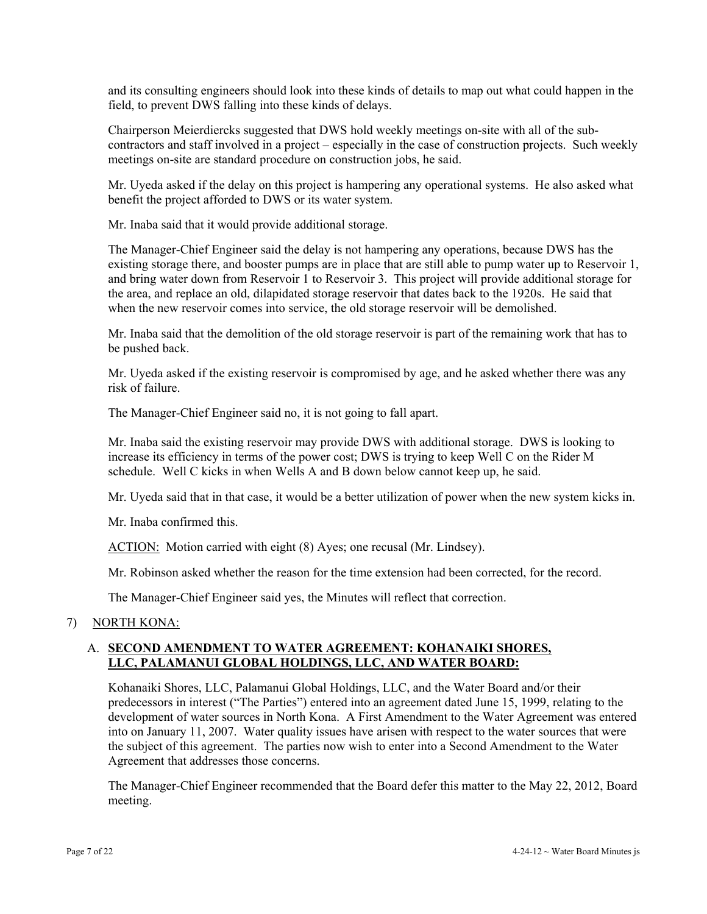and its consulting engineers should look into these kinds of details to map out what could happen in the field, to prevent DWS falling into these kinds of delays.

Chairperson Meierdiercks suggested that DWS hold weekly meetings on-site with all of the subcontractors and staff involved in a project – especially in the case of construction projects. Such weekly meetings on-site are standard procedure on construction jobs, he said.

Mr. Uyeda asked if the delay on this project is hampering any operational systems. He also asked what benefit the project afforded to DWS or its water system.

Mr. Inaba said that it would provide additional storage.

The Manager-Chief Engineer said the delay is not hampering any operations, because DWS has the existing storage there, and booster pumps are in place that are still able to pump water up to Reservoir 1, and bring water down from Reservoir 1 to Reservoir 3. This project will provide additional storage for the area, and replace an old, dilapidated storage reservoir that dates back to the 1920s. He said that when the new reservoir comes into service, the old storage reservoir will be demolished.

Mr. Inaba said that the demolition of the old storage reservoir is part of the remaining work that has to be pushed back.

Mr. Uyeda asked if the existing reservoir is compromised by age, and he asked whether there was any risk of failure.

The Manager-Chief Engineer said no, it is not going to fall apart.

Mr. Inaba said the existing reservoir may provide DWS with additional storage. DWS is looking to increase its efficiency in terms of the power cost; DWS is trying to keep Well C on the Rider M schedule. Well C kicks in when Wells A and B down below cannot keep up, he said.

Mr. Uyeda said that in that case, it would be a better utilization of power when the new system kicks in.

Mr. Inaba confirmed this.

ACTION: Motion carried with eight (8) Ayes; one recusal (Mr. Lindsey).

Mr. Robinson asked whether the reason for the time extension had been corrected, for the record.

The Manager-Chief Engineer said yes, the Minutes will reflect that correction.

## 7) NORTH KONA:

## A. **SECOND AMENDMENT TO WATER AGREEMENT: KOHANAIKI SHORES, LLC, PALAMANUI GLOBAL HOLDINGS, LLC, AND WATER BOARD:**

Kohanaiki Shores, LLC, Palamanui Global Holdings, LLC, and the Water Board and/or their predecessors in interest ("The Parties") entered into an agreement dated June 15, 1999, relating to the development of water sources in North Kona. A First Amendment to the Water Agreement was entered into on January 11, 2007. Water quality issues have arisen with respect to the water sources that were the subject of this agreement. The parties now wish to enter into a Second Amendment to the Water Agreement that addresses those concerns.

The Manager-Chief Engineer recommended that the Board defer this matter to the May 22, 2012, Board meeting.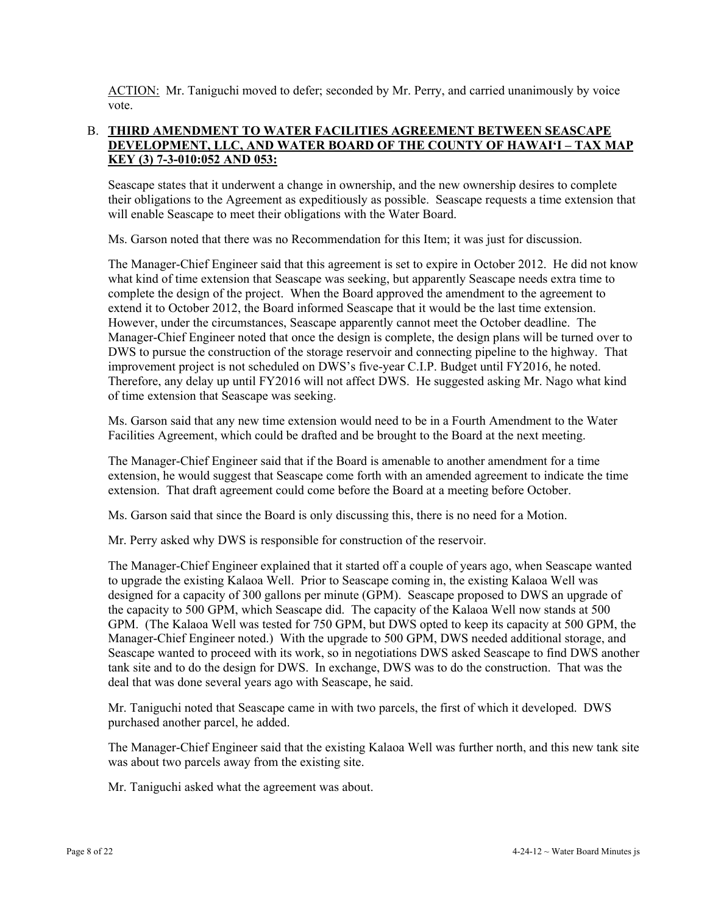ACTION: Mr. Taniguchi moved to defer; seconded by Mr. Perry, and carried unanimously by voice vote.

## B. **THIRD AMENDMENT TO WATER FACILITIES AGREEMENT BETWEEN SEASCAPE DEVELOPMENT, LLC, AND WATER BOARD OF THE COUNTY OF HAWAI'I – TAX MAP KEY (3) 7-3-010:052 AND 053:**

Seascape states that it underwent a change in ownership, and the new ownership desires to complete their obligations to the Agreement as expeditiously as possible. Seascape requests a time extension that will enable Seascape to meet their obligations with the Water Board.

Ms. Garson noted that there was no Recommendation for this Item; it was just for discussion.

The Manager-Chief Engineer said that this agreement is set to expire in October 2012. He did not know what kind of time extension that Seascape was seeking, but apparently Seascape needs extra time to complete the design of the project. When the Board approved the amendment to the agreement to extend it to October 2012, the Board informed Seascape that it would be the last time extension. However, under the circumstances, Seascape apparently cannot meet the October deadline. The Manager-Chief Engineer noted that once the design is complete, the design plans will be turned over to DWS to pursue the construction of the storage reservoir and connecting pipeline to the highway. That improvement project is not scheduled on DWS's five-year C.I.P. Budget until FY2016, he noted. Therefore, any delay up until FY2016 will not affect DWS. He suggested asking Mr. Nago what kind of time extension that Seascape was seeking.

Ms. Garson said that any new time extension would need to be in a Fourth Amendment to the Water Facilities Agreement, which could be drafted and be brought to the Board at the next meeting.

The Manager-Chief Engineer said that if the Board is amenable to another amendment for a time extension, he would suggest that Seascape come forth with an amended agreement to indicate the time extension. That draft agreement could come before the Board at a meeting before October.

Ms. Garson said that since the Board is only discussing this, there is no need for a Motion.

Mr. Perry asked why DWS is responsible for construction of the reservoir.

The Manager-Chief Engineer explained that it started off a couple of years ago, when Seascape wanted to upgrade the existing Kalaoa Well. Prior to Seascape coming in, the existing Kalaoa Well was designed for a capacity of 300 gallons per minute (GPM). Seascape proposed to DWS an upgrade of the capacity to 500 GPM, which Seascape did. The capacity of the Kalaoa Well now stands at 500 GPM. (The Kalaoa Well was tested for 750 GPM, but DWS opted to keep its capacity at 500 GPM, the Manager-Chief Engineer noted.) With the upgrade to 500 GPM, DWS needed additional storage, and Seascape wanted to proceed with its work, so in negotiations DWS asked Seascape to find DWS another tank site and to do the design for DWS. In exchange, DWS was to do the construction. That was the deal that was done several years ago with Seascape, he said.

Mr. Taniguchi noted that Seascape came in with two parcels, the first of which it developed. DWS purchased another parcel, he added.

The Manager-Chief Engineer said that the existing Kalaoa Well was further north, and this new tank site was about two parcels away from the existing site.

Mr. Taniguchi asked what the agreement was about.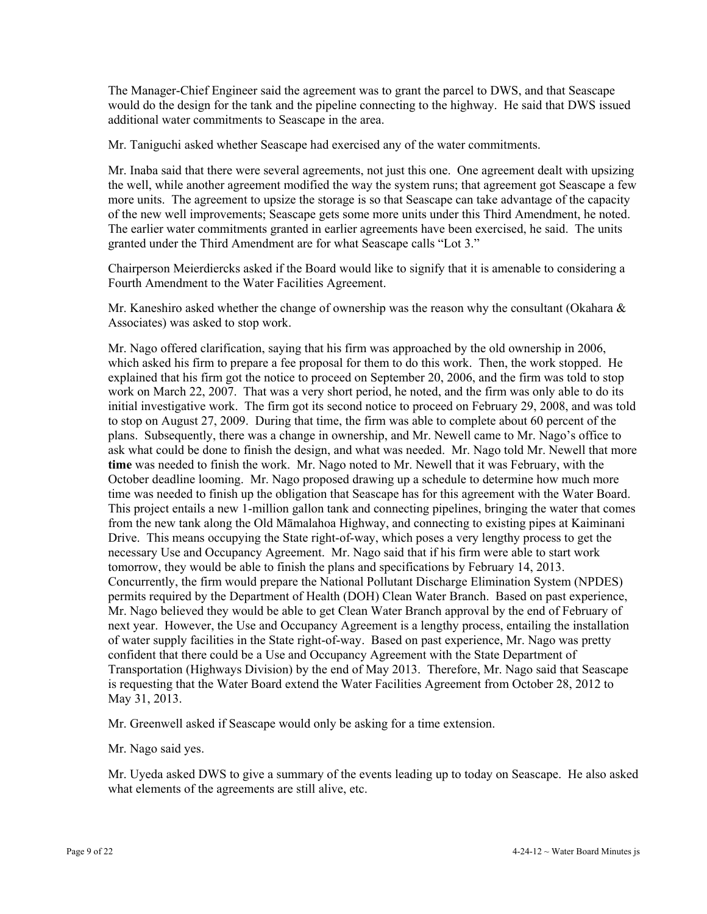The Manager-Chief Engineer said the agreement was to grant the parcel to DWS, and that Seascape would do the design for the tank and the pipeline connecting to the highway. He said that DWS issued additional water commitments to Seascape in the area.

Mr. Taniguchi asked whether Seascape had exercised any of the water commitments.

Mr. Inaba said that there were several agreements, not just this one. One agreement dealt with upsizing the well, while another agreement modified the way the system runs; that agreement got Seascape a few more units. The agreement to upsize the storage is so that Seascape can take advantage of the capacity of the new well improvements; Seascape gets some more units under this Third Amendment, he noted. The earlier water commitments granted in earlier agreements have been exercised, he said. The units granted under the Third Amendment are for what Seascape calls "Lot 3."

Chairperson Meierdiercks asked if the Board would like to signify that it is amenable to considering a Fourth Amendment to the Water Facilities Agreement.

Mr. Kaneshiro asked whether the change of ownership was the reason why the consultant (Okahara  $\&$ Associates) was asked to stop work.

Mr. Nago offered clarification, saying that his firm was approached by the old ownership in 2006, which asked his firm to prepare a fee proposal for them to do this work. Then, the work stopped. He explained that his firm got the notice to proceed on September 20, 2006, and the firm was told to stop work on March 22, 2007. That was a very short period, he noted, and the firm was only able to do its initial investigative work. The firm got its second notice to proceed on February 29, 2008, and was told to stop on August 27, 2009. During that time, the firm was able to complete about 60 percent of the plans. Subsequently, there was a change in ownership, and Mr. Newell came to Mr. Nago's office to ask what could be done to finish the design, and what was needed. Mr. Nago told Mr. Newell that more **time** was needed to finish the work. Mr. Nago noted to Mr. Newell that it was February, with the October deadline looming. Mr. Nago proposed drawing up a schedule to determine how much more time was needed to finish up the obligation that Seascape has for this agreement with the Water Board. This project entails a new 1-million gallon tank and connecting pipelines, bringing the water that comes from the new tank along the Old Māmalahoa Highway, and connecting to existing pipes at Kaiminani Drive. This means occupying the State right-of-way, which poses a very lengthy process to get the necessary Use and Occupancy Agreement. Mr. Nago said that if his firm were able to start work tomorrow, they would be able to finish the plans and specifications by February 14, 2013. Concurrently, the firm would prepare the National Pollutant Discharge Elimination System (NPDES) permits required by the Department of Health (DOH) Clean Water Branch. Based on past experience, Mr. Nago believed they would be able to get Clean Water Branch approval by the end of February of next year. However, the Use and Occupancy Agreement is a lengthy process, entailing the installation of water supply facilities in the State right-of-way. Based on past experience, Mr. Nago was pretty confident that there could be a Use and Occupancy Agreement with the State Department of Transportation (Highways Division) by the end of May 2013. Therefore, Mr. Nago said that Seascape is requesting that the Water Board extend the Water Facilities Agreement from October 28, 2012 to May 31, 2013.

Mr. Greenwell asked if Seascape would only be asking for a time extension.

Mr. Nago said yes.

Mr. Uyeda asked DWS to give a summary of the events leading up to today on Seascape. He also asked what elements of the agreements are still alive, etc.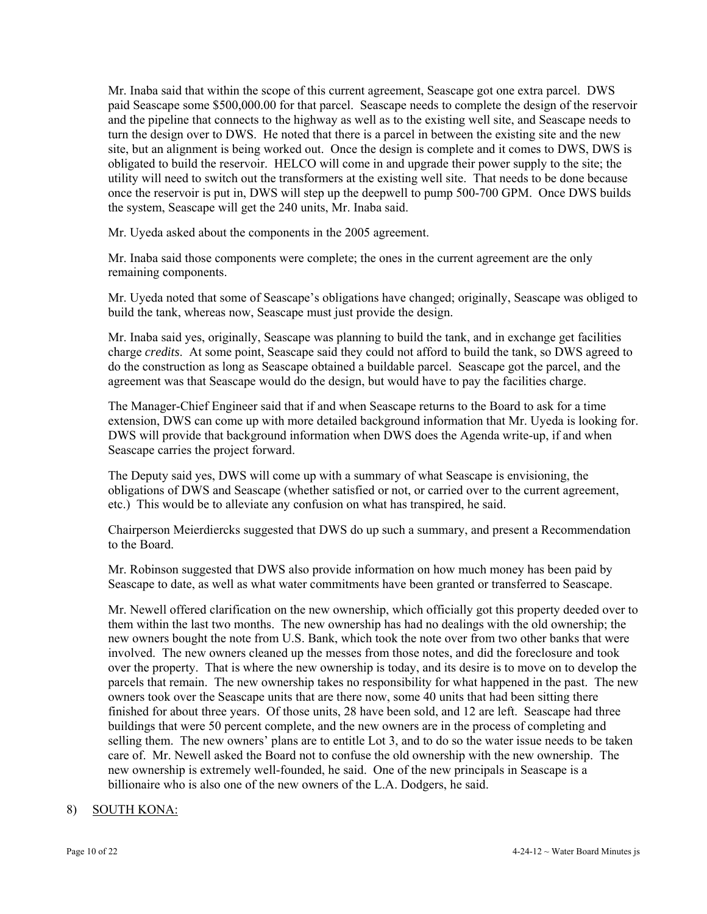Mr. Inaba said that within the scope of this current agreement, Seascape got one extra parcel. DWS paid Seascape some \$500,000.00 for that parcel. Seascape needs to complete the design of the reservoir and the pipeline that connects to the highway as well as to the existing well site, and Seascape needs to turn the design over to DWS. He noted that there is a parcel in between the existing site and the new site, but an alignment is being worked out. Once the design is complete and it comes to DWS, DWS is obligated to build the reservoir. HELCO will come in and upgrade their power supply to the site; the utility will need to switch out the transformers at the existing well site. That needs to be done because once the reservoir is put in, DWS will step up the deepwell to pump 500-700 GPM. Once DWS builds the system, Seascape will get the 240 units, Mr. Inaba said.

Mr. Uyeda asked about the components in the 2005 agreement.

Mr. Inaba said those components were complete; the ones in the current agreement are the only remaining components.

Mr. Uyeda noted that some of Seascape's obligations have changed; originally, Seascape was obliged to build the tank, whereas now, Seascape must just provide the design.

Mr. Inaba said yes, originally, Seascape was planning to build the tank, and in exchange get facilities charge *credits*. At some point, Seascape said they could not afford to build the tank, so DWS agreed to do the construction as long as Seascape obtained a buildable parcel. Seascape got the parcel, and the agreement was that Seascape would do the design, but would have to pay the facilities charge.

The Manager-Chief Engineer said that if and when Seascape returns to the Board to ask for a time extension, DWS can come up with more detailed background information that Mr. Uyeda is looking for. DWS will provide that background information when DWS does the Agenda write-up, if and when Seascape carries the project forward.

The Deputy said yes, DWS will come up with a summary of what Seascape is envisioning, the obligations of DWS and Seascape (whether satisfied or not, or carried over to the current agreement, etc.) This would be to alleviate any confusion on what has transpired, he said.

Chairperson Meierdiercks suggested that DWS do up such a summary, and present a Recommendation to the Board.

Mr. Robinson suggested that DWS also provide information on how much money has been paid by Seascape to date, as well as what water commitments have been granted or transferred to Seascape.

Mr. Newell offered clarification on the new ownership, which officially got this property deeded over to them within the last two months. The new ownership has had no dealings with the old ownership; the new owners bought the note from U.S. Bank, which took the note over from two other banks that were involved. The new owners cleaned up the messes from those notes, and did the foreclosure and took over the property. That is where the new ownership is today, and its desire is to move on to develop the parcels that remain. The new ownership takes no responsibility for what happened in the past. The new owners took over the Seascape units that are there now, some 40 units that had been sitting there finished for about three years. Of those units, 28 have been sold, and 12 are left. Seascape had three buildings that were 50 percent complete, and the new owners are in the process of completing and selling them. The new owners' plans are to entitle Lot 3, and to do so the water issue needs to be taken care of. Mr. Newell asked the Board not to confuse the old ownership with the new ownership. The new ownership is extremely well-founded, he said. One of the new principals in Seascape is a billionaire who is also one of the new owners of the L.A. Dodgers, he said.

## 8) SOUTH KONA: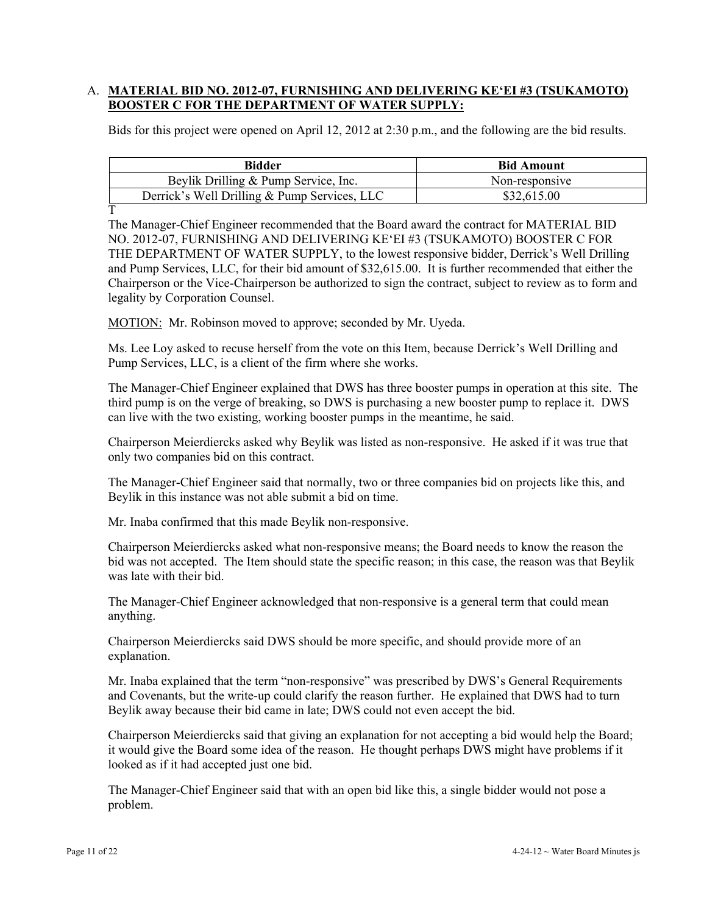## A. **MATERIAL BID NO. 2012-07, FURNISHING AND DELIVERING KE'EI #3 (TSUKAMOTO) BOOSTER C FOR THE DEPARTMENT OF WATER SUPPLY:**

Bids for this project were opened on April 12, 2012 at 2:30 p.m., and the following are the bid results.

| Bidder                                       | <b>Bid Amount</b> |
|----------------------------------------------|-------------------|
| Beylik Drilling & Pump Service, Inc.         | Non-responsive    |
| Derrick's Well Drilling & Pump Services, LLC | \$32,615.00       |

 $\overline{T}$ 

The Manager-Chief Engineer recommended that the Board award the contract for MATERIAL BID NO. 2012-07, FURNISHING AND DELIVERING KE'EI #3 (TSUKAMOTO) BOOSTER C FOR THE DEPARTMENT OF WATER SUPPLY, to the lowest responsive bidder, Derrick's Well Drilling and Pump Services, LLC, for their bid amount of \$32,615.00. It is further recommended that either the Chairperson or the Vice-Chairperson be authorized to sign the contract, subject to review as to form and legality by Corporation Counsel.

MOTION: Mr. Robinson moved to approve; seconded by Mr. Uyeda.

Ms. Lee Loy asked to recuse herself from the vote on this Item, because Derrick's Well Drilling and Pump Services, LLC, is a client of the firm where she works.

The Manager-Chief Engineer explained that DWS has three booster pumps in operation at this site. The third pump is on the verge of breaking, so DWS is purchasing a new booster pump to replace it. DWS can live with the two existing, working booster pumps in the meantime, he said.

Chairperson Meierdiercks asked why Beylik was listed as non-responsive. He asked if it was true that only two companies bid on this contract.

The Manager-Chief Engineer said that normally, two or three companies bid on projects like this, and Beylik in this instance was not able submit a bid on time.

Mr. Inaba confirmed that this made Beylik non-responsive.

Chairperson Meierdiercks asked what non-responsive means; the Board needs to know the reason the bid was not accepted. The Item should state the specific reason; in this case, the reason was that Beylik was late with their bid.

The Manager-Chief Engineer acknowledged that non-responsive is a general term that could mean anything.

Chairperson Meierdiercks said DWS should be more specific, and should provide more of an explanation.

Mr. Inaba explained that the term "non-responsive" was prescribed by DWS's General Requirements and Covenants, but the write-up could clarify the reason further. He explained that DWS had to turn Beylik away because their bid came in late; DWS could not even accept the bid.

Chairperson Meierdiercks said that giving an explanation for not accepting a bid would help the Board; it would give the Board some idea of the reason. He thought perhaps DWS might have problems if it looked as if it had accepted just one bid.

The Manager-Chief Engineer said that with an open bid like this, a single bidder would not pose a problem.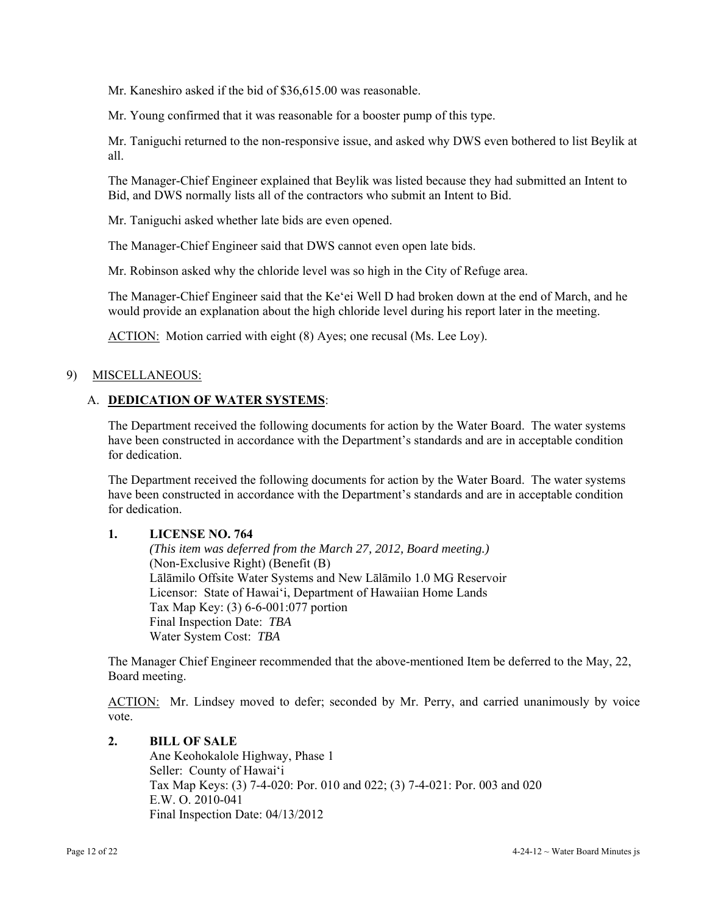Mr. Kaneshiro asked if the bid of \$36,615.00 was reasonable.

Mr. Young confirmed that it was reasonable for a booster pump of this type.

Mr. Taniguchi returned to the non-responsive issue, and asked why DWS even bothered to list Beylik at all.

The Manager-Chief Engineer explained that Beylik was listed because they had submitted an Intent to Bid, and DWS normally lists all of the contractors who submit an Intent to Bid.

Mr. Taniguchi asked whether late bids are even opened.

The Manager-Chief Engineer said that DWS cannot even open late bids.

Mr. Robinson asked why the chloride level was so high in the City of Refuge area.

The Manager-Chief Engineer said that the Ke'ei Well D had broken down at the end of March, and he would provide an explanation about the high chloride level during his report later in the meeting.

ACTION: Motion carried with eight (8) Ayes; one recusal (Ms. Lee Loy).

### 9) MISCELLANEOUS:

## A. **DEDICATION OF WATER SYSTEMS**:

The Department received the following documents for action by the Water Board. The water systems have been constructed in accordance with the Department's standards and are in acceptable condition for dedication.

The Department received the following documents for action by the Water Board. The water systems have been constructed in accordance with the Department's standards and are in acceptable condition for dedication.

#### **1. LICENSE NO. 764**

 *(This item was deferred from the March 27, 2012, Board meeting.)*  (Non-Exclusive Right) (Benefit (B) Lālāmilo Offsite Water Systems and New Lālāmilo 1.0 MG Reservoir Licensor: State of Hawai'i, Department of Hawaiian Home Lands Tax Map Key: (3) 6-6-001:077 portion Final Inspection Date: *TBA* Water System Cost: *TBA*

 The Manager Chief Engineer recommended that the above-mentioned Item be deferred to the May, 22, Board meeting.

 ACTION: Mr. Lindsey moved to defer; seconded by Mr. Perry, and carried unanimously by voice vote.

**2. BILL OF SALE** Ane Keohokalole Highway, Phase 1 Seller: County of Hawai'i Tax Map Keys: (3) 7-4-020: Por. 010 and 022; (3) 7-4-021: Por. 003 and 020 E.W. O. 2010-041 Final Inspection Date: 04/13/2012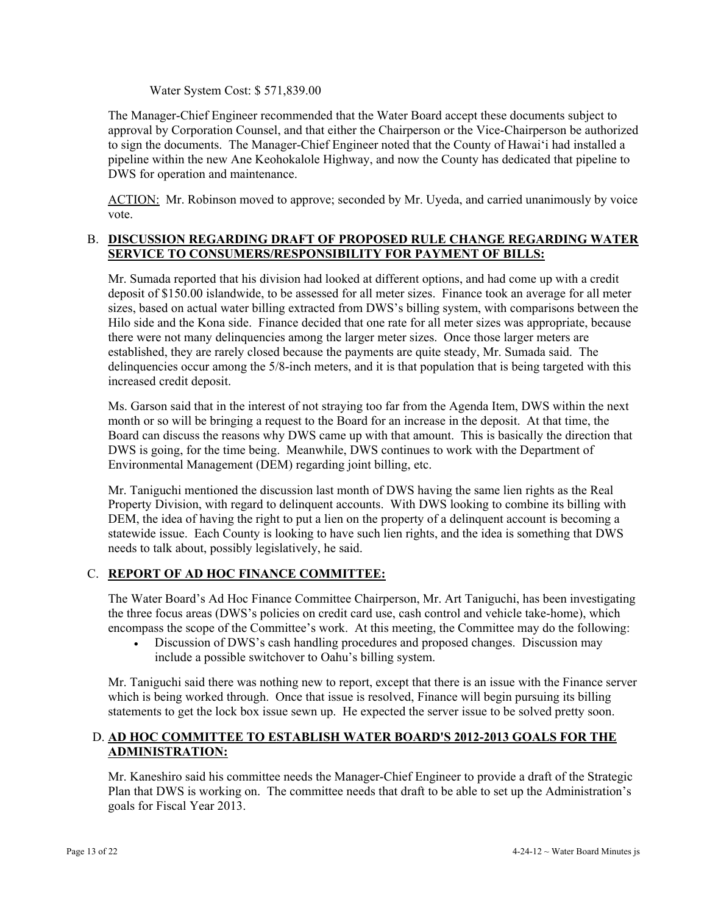Water System Cost: \$ 571,839.00

The Manager-Chief Engineer recommended that the Water Board accept these documents subject to approval by Corporation Counsel, and that either the Chairperson or the Vice-Chairperson be authorized to sign the documents. The Manager-Chief Engineer noted that the County of Hawai'i had installed a pipeline within the new Ane Keohokalole Highway, and now the County has dedicated that pipeline to DWS for operation and maintenance.

ACTION: Mr. Robinson moved to approve; seconded by Mr. Uyeda, and carried unanimously by voice vote.

## B. **DISCUSSION REGARDING DRAFT OF PROPOSED RULE CHANGE REGARDING WATER SERVICE TO CONSUMERS/RESPONSIBILITY FOR PAYMENT OF BILLS:**

Mr. Sumada reported that his division had looked at different options, and had come up with a credit deposit of \$150.00 islandwide, to be assessed for all meter sizes. Finance took an average for all meter sizes, based on actual water billing extracted from DWS's billing system, with comparisons between the Hilo side and the Kona side. Finance decided that one rate for all meter sizes was appropriate, because there were not many delinquencies among the larger meter sizes. Once those larger meters are established, they are rarely closed because the payments are quite steady, Mr. Sumada said. The delinquencies occur among the 5/8-inch meters, and it is that population that is being targeted with this increased credit deposit.

Ms. Garson said that in the interest of not straying too far from the Agenda Item, DWS within the next month or so will be bringing a request to the Board for an increase in the deposit. At that time, the Board can discuss the reasons why DWS came up with that amount. This is basically the direction that DWS is going, for the time being. Meanwhile, DWS continues to work with the Department of Environmental Management (DEM) regarding joint billing, etc.

Mr. Taniguchi mentioned the discussion last month of DWS having the same lien rights as the Real Property Division, with regard to delinquent accounts. With DWS looking to combine its billing with DEM, the idea of having the right to put a lien on the property of a delinquent account is becoming a statewide issue. Each County is looking to have such lien rights, and the idea is something that DWS needs to talk about, possibly legislatively, he said.

# C. **REPORT OF AD HOC FINANCE COMMITTEE:**

The Water Board's Ad Hoc Finance Committee Chairperson, Mr. Art Taniguchi, has been investigating the three focus areas (DWS's policies on credit card use, cash control and vehicle take-home), which encompass the scope of the Committee's work. At this meeting, the Committee may do the following:

 Discussion of DWS's cash handling procedures and proposed changes. Discussion may include a possible switchover to Oahu's billing system.

Mr. Taniguchi said there was nothing new to report, except that there is an issue with the Finance server which is being worked through. Once that issue is resolved, Finance will begin pursuing its billing statements to get the lock box issue sewn up. He expected the server issue to be solved pretty soon.

# D. **AD HOC COMMITTEE TO ESTABLISH WATER BOARD'S 2012-2013 GOALS FOR THE ADMINISTRATION:**

Mr. Kaneshiro said his committee needs the Manager-Chief Engineer to provide a draft of the Strategic Plan that DWS is working on. The committee needs that draft to be able to set up the Administration's goals for Fiscal Year 2013.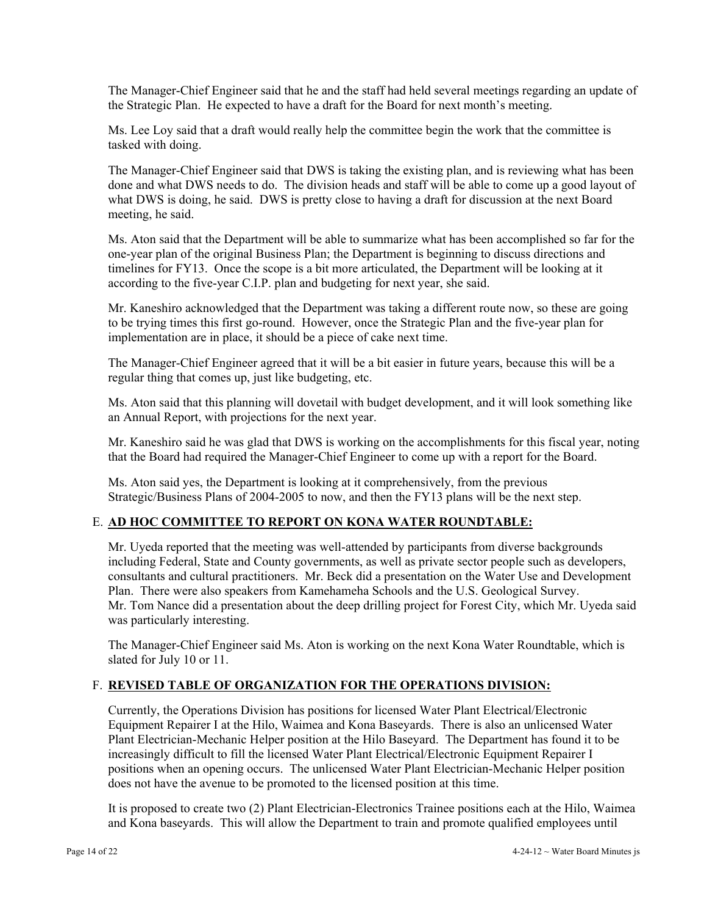The Manager-Chief Engineer said that he and the staff had held several meetings regarding an update of the Strategic Plan. He expected to have a draft for the Board for next month's meeting.

Ms. Lee Loy said that a draft would really help the committee begin the work that the committee is tasked with doing.

The Manager-Chief Engineer said that DWS is taking the existing plan, and is reviewing what has been done and what DWS needs to do. The division heads and staff will be able to come up a good layout of what DWS is doing, he said. DWS is pretty close to having a draft for discussion at the next Board meeting, he said.

Ms. Aton said that the Department will be able to summarize what has been accomplished so far for the one-year plan of the original Business Plan; the Department is beginning to discuss directions and timelines for FY13. Once the scope is a bit more articulated, the Department will be looking at it according to the five-year C.I.P. plan and budgeting for next year, she said.

Mr. Kaneshiro acknowledged that the Department was taking a different route now, so these are going to be trying times this first go-round. However, once the Strategic Plan and the five-year plan for implementation are in place, it should be a piece of cake next time.

The Manager-Chief Engineer agreed that it will be a bit easier in future years, because this will be a regular thing that comes up, just like budgeting, etc.

Ms. Aton said that this planning will dovetail with budget development, and it will look something like an Annual Report, with projections for the next year.

Mr. Kaneshiro said he was glad that DWS is working on the accomplishments for this fiscal year, noting that the Board had required the Manager-Chief Engineer to come up with a report for the Board.

Ms. Aton said yes, the Department is looking at it comprehensively, from the previous Strategic/Business Plans of 2004-2005 to now, and then the FY13 plans will be the next step.

## E. **AD HOC COMMITTEE TO REPORT ON KONA WATER ROUNDTABLE:**

Mr. Uyeda reported that the meeting was well-attended by participants from diverse backgrounds including Federal, State and County governments, as well as private sector people such as developers, consultants and cultural practitioners. Mr. Beck did a presentation on the Water Use and Development Plan. There were also speakers from Kamehameha Schools and the U.S. Geological Survey. Mr. Tom Nance did a presentation about the deep drilling project for Forest City, which Mr. Uyeda said was particularly interesting.

The Manager-Chief Engineer said Ms. Aton is working on the next Kona Water Roundtable, which is slated for July 10 or 11.

# F. **REVISED TABLE OF ORGANIZATION FOR THE OPERATIONS DIVISION:**

Currently, the Operations Division has positions for licensed Water Plant Electrical/Electronic Equipment Repairer I at the Hilo, Waimea and Kona Baseyards. There is also an unlicensed Water Plant Electrician-Mechanic Helper position at the Hilo Baseyard. The Department has found it to be increasingly difficult to fill the licensed Water Plant Electrical/Electronic Equipment Repairer I positions when an opening occurs. The unlicensed Water Plant Electrician-Mechanic Helper position does not have the avenue to be promoted to the licensed position at this time.

It is proposed to create two (2) Plant Electrician-Electronics Trainee positions each at the Hilo, Waimea and Kona baseyards. This will allow the Department to train and promote qualified employees until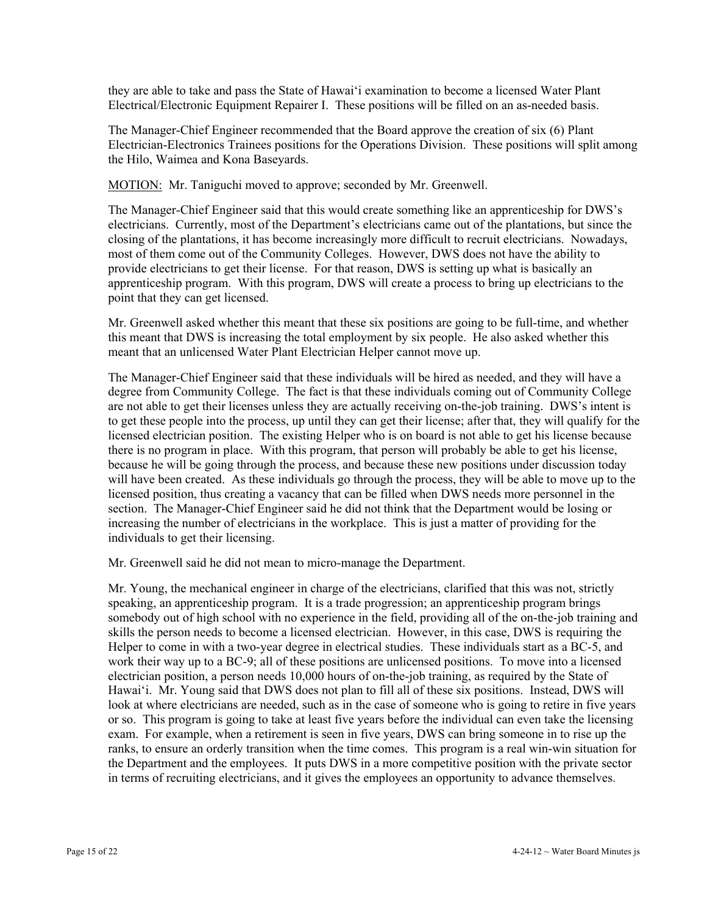they are able to take and pass the State of Hawai'i examination to become a licensed Water Plant Electrical/Electronic Equipment Repairer I. These positions will be filled on an as-needed basis.

The Manager-Chief Engineer recommended that the Board approve the creation of six (6) Plant Electrician-Electronics Trainees positions for the Operations Division. These positions will split among the Hilo, Waimea and Kona Baseyards.

MOTION: Mr. Taniguchi moved to approve; seconded by Mr. Greenwell.

The Manager-Chief Engineer said that this would create something like an apprenticeship for DWS's electricians. Currently, most of the Department's electricians came out of the plantations, but since the closing of the plantations, it has become increasingly more difficult to recruit electricians. Nowadays, most of them come out of the Community Colleges. However, DWS does not have the ability to provide electricians to get their license. For that reason, DWS is setting up what is basically an apprenticeship program. With this program, DWS will create a process to bring up electricians to the point that they can get licensed.

Mr. Greenwell asked whether this meant that these six positions are going to be full-time, and whether this meant that DWS is increasing the total employment by six people. He also asked whether this meant that an unlicensed Water Plant Electrician Helper cannot move up.

The Manager-Chief Engineer said that these individuals will be hired as needed, and they will have a degree from Community College. The fact is that these individuals coming out of Community College are not able to get their licenses unless they are actually receiving on-the-job training. DWS's intent is to get these people into the process, up until they can get their license; after that, they will qualify for the licensed electrician position. The existing Helper who is on board is not able to get his license because there is no program in place. With this program, that person will probably be able to get his license, because he will be going through the process, and because these new positions under discussion today will have been created. As these individuals go through the process, they will be able to move up to the licensed position, thus creating a vacancy that can be filled when DWS needs more personnel in the section. The Manager-Chief Engineer said he did not think that the Department would be losing or increasing the number of electricians in the workplace. This is just a matter of providing for the individuals to get their licensing.

Mr. Greenwell said he did not mean to micro-manage the Department.

Mr. Young, the mechanical engineer in charge of the electricians, clarified that this was not, strictly speaking, an apprenticeship program. It is a trade progression; an apprenticeship program brings somebody out of high school with no experience in the field, providing all of the on-the-job training and skills the person needs to become a licensed electrician. However, in this case, DWS is requiring the Helper to come in with a two-year degree in electrical studies. These individuals start as a BC-5, and work their way up to a BC-9; all of these positions are unlicensed positions. To move into a licensed electrician position, a person needs 10,000 hours of on-the-job training, as required by the State of Hawai'i. Mr. Young said that DWS does not plan to fill all of these six positions. Instead, DWS will look at where electricians are needed, such as in the case of someone who is going to retire in five years or so. This program is going to take at least five years before the individual can even take the licensing exam. For example, when a retirement is seen in five years, DWS can bring someone in to rise up the ranks, to ensure an orderly transition when the time comes. This program is a real win-win situation for the Department and the employees. It puts DWS in a more competitive position with the private sector in terms of recruiting electricians, and it gives the employees an opportunity to advance themselves.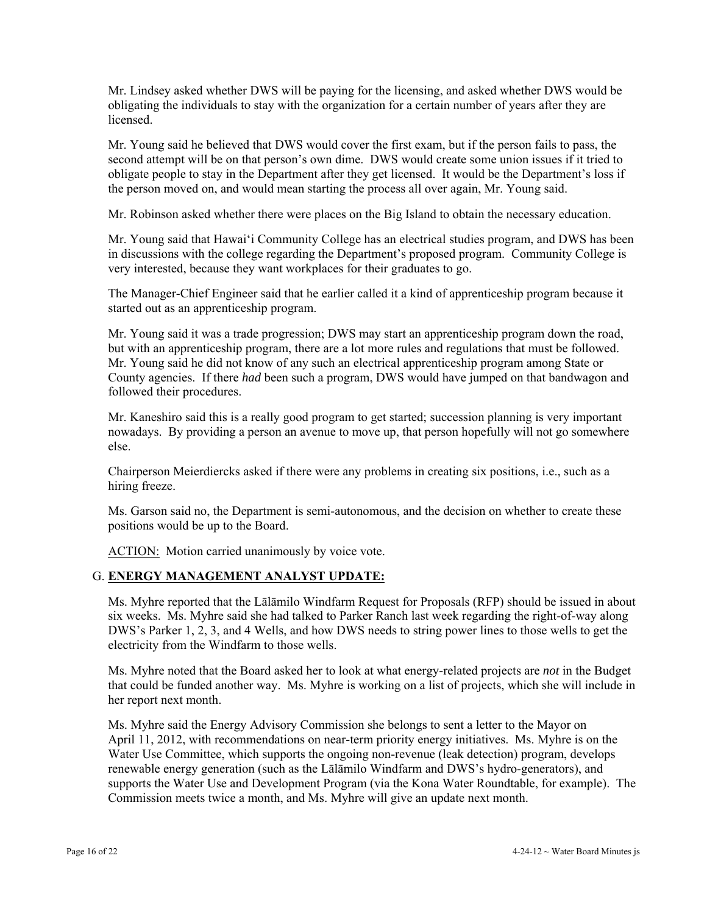Mr. Lindsey asked whether DWS will be paying for the licensing, and asked whether DWS would be obligating the individuals to stay with the organization for a certain number of years after they are licensed.

Mr. Young said he believed that DWS would cover the first exam, but if the person fails to pass, the second attempt will be on that person's own dime. DWS would create some union issues if it tried to obligate people to stay in the Department after they get licensed. It would be the Department's loss if the person moved on, and would mean starting the process all over again, Mr. Young said.

Mr. Robinson asked whether there were places on the Big Island to obtain the necessary education.

Mr. Young said that Hawai'i Community College has an electrical studies program, and DWS has been in discussions with the college regarding the Department's proposed program. Community College is very interested, because they want workplaces for their graduates to go.

The Manager-Chief Engineer said that he earlier called it a kind of apprenticeship program because it started out as an apprenticeship program.

Mr. Young said it was a trade progression; DWS may start an apprenticeship program down the road, but with an apprenticeship program, there are a lot more rules and regulations that must be followed. Mr. Young said he did not know of any such an electrical apprenticeship program among State or County agencies. If there *had* been such a program, DWS would have jumped on that bandwagon and followed their procedures.

Mr. Kaneshiro said this is a really good program to get started; succession planning is very important nowadays. By providing a person an avenue to move up, that person hopefully will not go somewhere else.

Chairperson Meierdiercks asked if there were any problems in creating six positions, i.e., such as a hiring freeze.

Ms. Garson said no, the Department is semi-autonomous, and the decision on whether to create these positions would be up to the Board.

ACTION: Motion carried unanimously by voice vote.

## G. **ENERGY MANAGEMENT ANALYST UPDATE:**

Ms. Myhre reported that the Lālāmilo Windfarm Request for Proposals (RFP) should be issued in about six weeks. Ms. Myhre said she had talked to Parker Ranch last week regarding the right-of-way along DWS's Parker 1, 2, 3, and 4 Wells, and how DWS needs to string power lines to those wells to get the electricity from the Windfarm to those wells.

Ms. Myhre noted that the Board asked her to look at what energy-related projects are *not* in the Budget that could be funded another way. Ms. Myhre is working on a list of projects, which she will include in her report next month.

Ms. Myhre said the Energy Advisory Commission she belongs to sent a letter to the Mayor on April 11, 2012, with recommendations on near-term priority energy initiatives. Ms. Myhre is on the Water Use Committee, which supports the ongoing non-revenue (leak detection) program, develops renewable energy generation (such as the Lālāmilo Windfarm and DWS's hydro-generators), and supports the Water Use and Development Program (via the Kona Water Roundtable, for example). The Commission meets twice a month, and Ms. Myhre will give an update next month.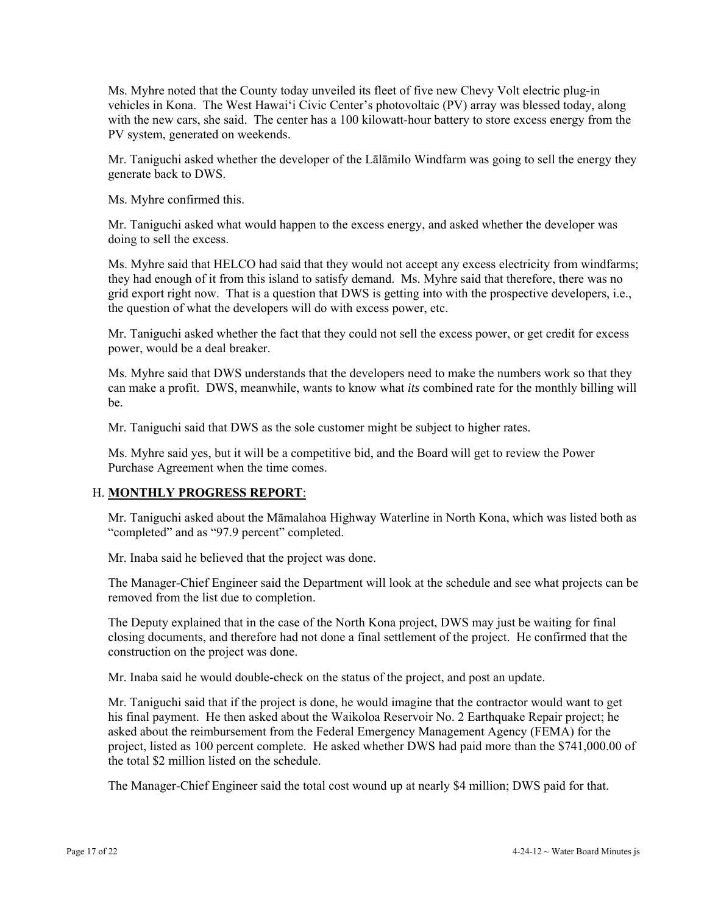Ms. Myhre noted that the County today unveiled its fleet of five new Chevy Volt electric plug-in vehicles in Kona. The West Hawai'i Civic Center's photovoltaic (PV) array was blessed today, along with the new cars, she said. The center has a 100 kilowatt-hour battery to store excess energy from the PV system, generated on weekends.

Mr. Taniguchi asked whether the developer of the Lālāmilo Windfarm was going to sell the energy they generate back to DWS.

Ms. Myhre confirmed this.

Mr. Taniguchi asked what would happen to the excess energy, and asked whether the developer was doing to sell the excess.

Ms. Myhre said that HELCO had said that they would not accept any excess electricity from windfarms; they had enough of it from this island to satisfy demand. Ms. Myhre said that therefore, there was no grid export right now. That is a question that DWS is getting into with the prospective developers, i.e., the question of what the developers will do with excess power, etc.

Mr. Taniguchi asked whether the fact that they could not sell the excess power, or get credit for excess power, would be a deal breaker.

Ms. Myhre said that DWS understands that the developers need to make the numbers work so that they can make a profit. DWS, meanwhile, wants to know what *its* combined rate for the monthly billing will be.

Mr. Taniguchi said that DWS as the sole customer might be subject to higher rates.

Ms. Myhre said yes, but it will be a competitive bid, and the Board will get to review the Power Purchase Agreement when the time comes.

#### H. **MONTHLY PROGRESS REPORT**:

Mr. Taniguchi asked about the Māmalahoa Highway Waterline in North Kona, which was listed both as "completed" and as "97.9 percent" completed.

Mr. Inaba said he believed that the project was done.

The Manager-Chief Engineer said the Department will look at the schedule and see what projects can be removed from the list due to completion.

The Deputy explained that in the case of the North Kona project, DWS may just be waiting for final closing documents, and therefore had not done a final settlement of the project. He confirmed that the construction on the project was done.

Mr. Inaba said he would double-check on the status of the project, and post an update.

Mr. Taniguchi said that if the project is done, he would imagine that the contractor would want to get his final payment. He then asked about the Waikoloa Reservoir No. 2 Earthquake Repair project; he asked about the reimbursement from the Federal Emergency Management Agency (FEMA) for the project, listed as 100 percent complete. He asked whether DWS had paid more than the \$741,000.00 of the total \$2 million listed on the schedule.

The Manager-Chief Engineer said the total cost wound up at nearly \$4 million; DWS paid for that.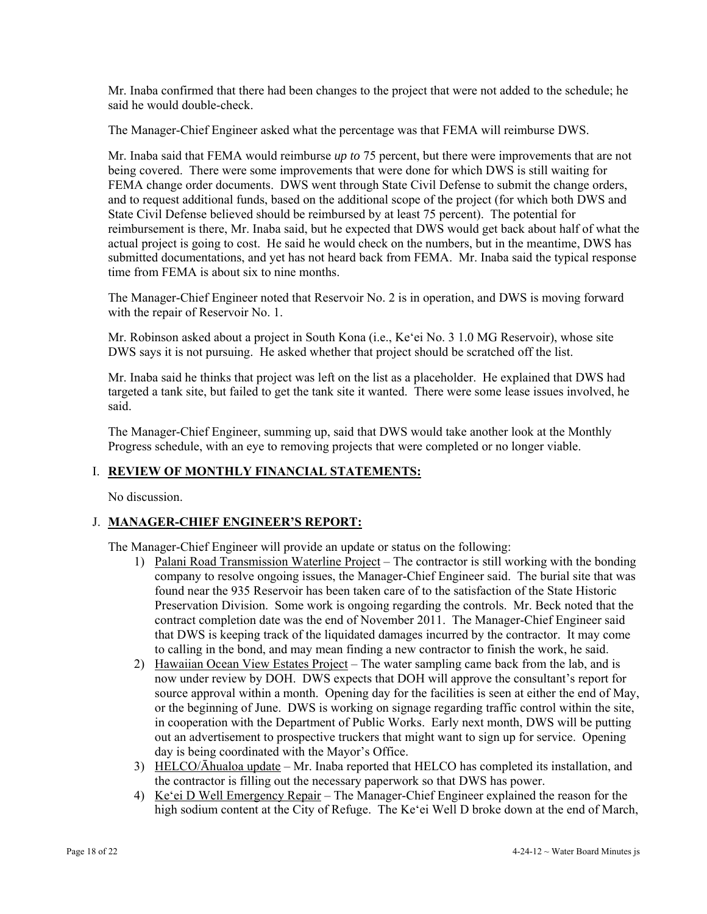Mr. Inaba confirmed that there had been changes to the project that were not added to the schedule; he said he would double-check.

The Manager-Chief Engineer asked what the percentage was that FEMA will reimburse DWS.

Mr. Inaba said that FEMA would reimburse *up to* 75 percent, but there were improvements that are not being covered. There were some improvements that were done for which DWS is still waiting for FEMA change order documents. DWS went through State Civil Defense to submit the change orders, and to request additional funds, based on the additional scope of the project (for which both DWS and State Civil Defense believed should be reimbursed by at least 75 percent). The potential for reimbursement is there, Mr. Inaba said, but he expected that DWS would get back about half of what the actual project is going to cost. He said he would check on the numbers, but in the meantime, DWS has submitted documentations, and yet has not heard back from FEMA. Mr. Inaba said the typical response time from FEMA is about six to nine months.

The Manager-Chief Engineer noted that Reservoir No. 2 is in operation, and DWS is moving forward with the repair of Reservoir No. 1.

Mr. Robinson asked about a project in South Kona (i.e., Ke'ei No. 3 1.0 MG Reservoir), whose site DWS says it is not pursuing. He asked whether that project should be scratched off the list.

Mr. Inaba said he thinks that project was left on the list as a placeholder. He explained that DWS had targeted a tank site, but failed to get the tank site it wanted. There were some lease issues involved, he said.

The Manager-Chief Engineer, summing up, said that DWS would take another look at the Monthly Progress schedule, with an eye to removing projects that were completed or no longer viable.

# I. **REVIEW OF MONTHLY FINANCIAL STATEMENTS:**

No discussion.

## J. **MANAGER-CHIEF ENGINEER'S REPORT:**

The Manager-Chief Engineer will provide an update or status on the following:

- 1) Palani Road Transmission Waterline Project The contractor is still working with the bonding company to resolve ongoing issues, the Manager-Chief Engineer said. The burial site that was found near the 935 Reservoir has been taken care of to the satisfaction of the State Historic Preservation Division. Some work is ongoing regarding the controls. Mr. Beck noted that the contract completion date was the end of November 2011. The Manager-Chief Engineer said that DWS is keeping track of the liquidated damages incurred by the contractor. It may come to calling in the bond, and may mean finding a new contractor to finish the work, he said.
- 2) Hawaiian Ocean View Estates Project The water sampling came back from the lab, and is now under review by DOH. DWS expects that DOH will approve the consultant's report for source approval within a month. Opening day for the facilities is seen at either the end of May, or the beginning of June. DWS is working on signage regarding traffic control within the site, in cooperation with the Department of Public Works. Early next month, DWS will be putting out an advertisement to prospective truckers that might want to sign up for service. Opening day is being coordinated with the Mayor's Office.
- 3) HELCO/Āhualoa update Mr. Inaba reported that HELCO has completed its installation, and the contractor is filling out the necessary paperwork so that DWS has power.
- 4) Ke'ei D Well Emergency Repair The Manager-Chief Engineer explained the reason for the high sodium content at the City of Refuge. The Ke'ei Well D broke down at the end of March,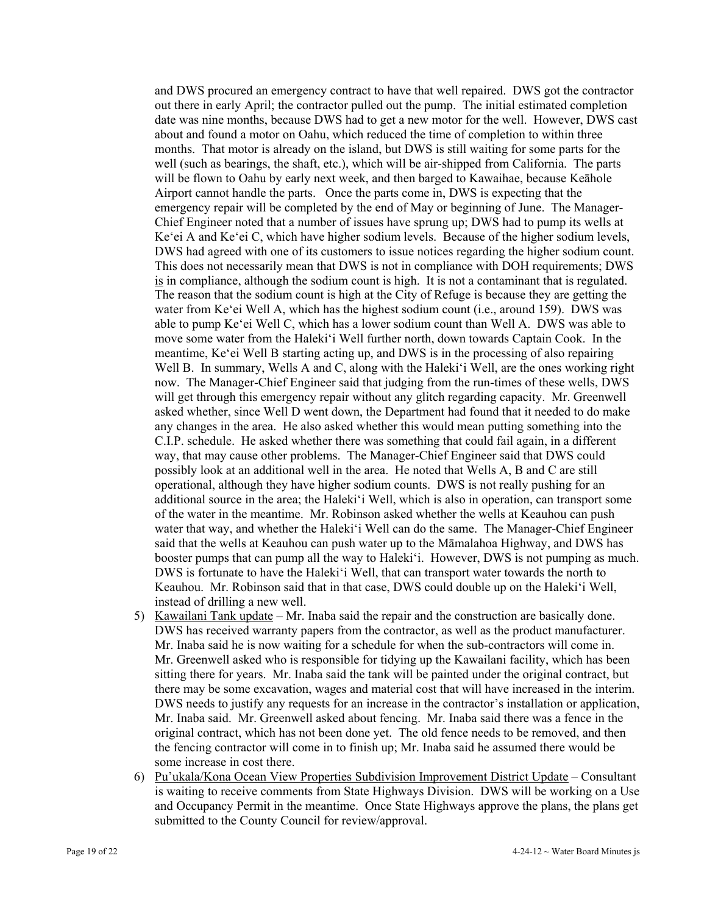and DWS procured an emergency contract to have that well repaired. DWS got the contractor out there in early April; the contractor pulled out the pump. The initial estimated completion date was nine months, because DWS had to get a new motor for the well. However, DWS cast about and found a motor on Oahu, which reduced the time of completion to within three months. That motor is already on the island, but DWS is still waiting for some parts for the well (such as bearings, the shaft, etc.), which will be air-shipped from California. The parts will be flown to Oahu by early next week, and then barged to Kawaihae, because Keāhole Airport cannot handle the parts. Once the parts come in, DWS is expecting that the emergency repair will be completed by the end of May or beginning of June. The Manager-Chief Engineer noted that a number of issues have sprung up; DWS had to pump its wells at Ke'ei A and Ke'ei C, which have higher sodium levels. Because of the higher sodium levels, DWS had agreed with one of its customers to issue notices regarding the higher sodium count. This does not necessarily mean that DWS is not in compliance with DOH requirements; DWS is in compliance, although the sodium count is high. It is not a contaminant that is regulated. The reason that the sodium count is high at the City of Refuge is because they are getting the water from Ke'ei Well A, which has the highest sodium count (i.e., around 159). DWS was able to pump Ke'ei Well C, which has a lower sodium count than Well A. DWS was able to move some water from the Haleki'i Well further north, down towards Captain Cook. In the meantime, Ke'ei Well B starting acting up, and DWS is in the processing of also repairing Well B. In summary, Wells A and C, along with the Haleki'i Well, are the ones working right now. The Manager-Chief Engineer said that judging from the run-times of these wells, DWS will get through this emergency repair without any glitch regarding capacity. Mr. Greenwell asked whether, since Well D went down, the Department had found that it needed to do make any changes in the area. He also asked whether this would mean putting something into the C.I.P. schedule. He asked whether there was something that could fail again, in a different way, that may cause other problems. The Manager-Chief Engineer said that DWS could possibly look at an additional well in the area. He noted that Wells A, B and C are still operational, although they have higher sodium counts. DWS is not really pushing for an additional source in the area; the Haleki'i Well, which is also in operation, can transport some of the water in the meantime. Mr. Robinson asked whether the wells at Keauhou can push water that way, and whether the Haleki'i Well can do the same. The Manager-Chief Engineer said that the wells at Keauhou can push water up to the Māmalahoa Highway, and DWS has booster pumps that can pump all the way to Haleki'i. However, DWS is not pumping as much. DWS is fortunate to have the Haleki'i Well, that can transport water towards the north to Keauhou. Mr. Robinson said that in that case, DWS could double up on the Haleki'i Well, instead of drilling a new well.

- 5) Kawailani Tank update Mr. Inaba said the repair and the construction are basically done. DWS has received warranty papers from the contractor, as well as the product manufacturer. Mr. Inaba said he is now waiting for a schedule for when the sub-contractors will come in. Mr. Greenwell asked who is responsible for tidying up the Kawailani facility, which has been sitting there for years. Mr. Inaba said the tank will be painted under the original contract, but there may be some excavation, wages and material cost that will have increased in the interim. DWS needs to justify any requests for an increase in the contractor's installation or application, Mr. Inaba said. Mr. Greenwell asked about fencing. Mr. Inaba said there was a fence in the original contract, which has not been done yet. The old fence needs to be removed, and then the fencing contractor will come in to finish up; Mr. Inaba said he assumed there would be some increase in cost there.
- 6) Pu'ukala/Kona Ocean View Properties Subdivision Improvement District Update Consultant is waiting to receive comments from State Highways Division. DWS will be working on a Use and Occupancy Permit in the meantime. Once State Highways approve the plans, the plans get submitted to the County Council for review/approval.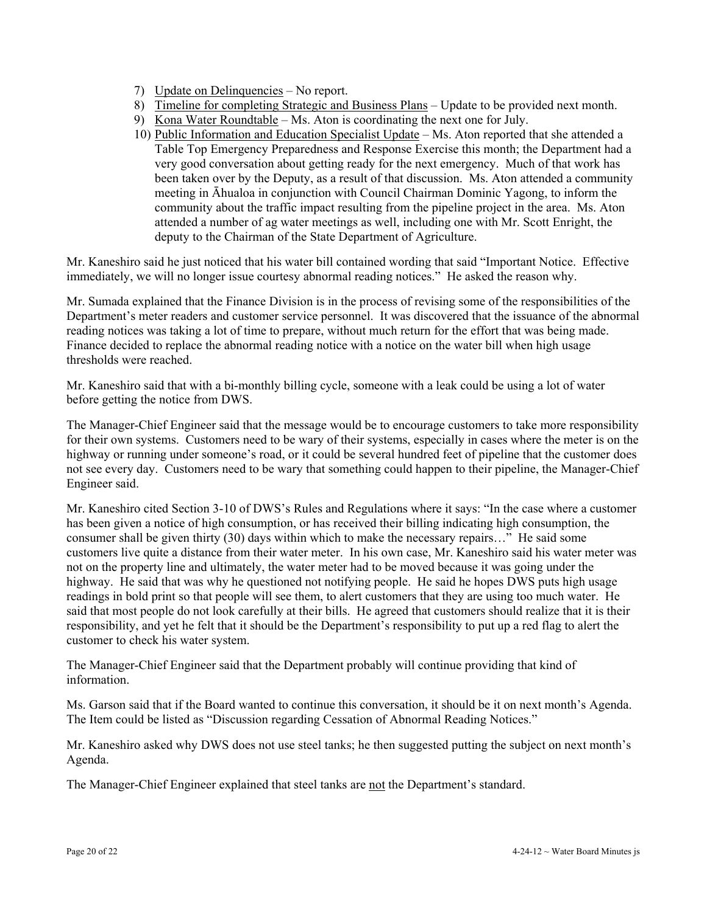- 7) Update on Delinquencies No report.
- 8) Timeline for completing Strategic and Business Plans Update to be provided next month.
- 9) Kona Water Roundtable Ms. Aton is coordinating the next one for July.
- 10) Public Information and Education Specialist Update Ms. Aton reported that she attended a Table Top Emergency Preparedness and Response Exercise this month; the Department had a very good conversation about getting ready for the next emergency. Much of that work has been taken over by the Deputy, as a result of that discussion. Ms. Aton attended a community meeting in Āhualoa in conjunction with Council Chairman Dominic Yagong, to inform the community about the traffic impact resulting from the pipeline project in the area. Ms. Aton attended a number of ag water meetings as well, including one with Mr. Scott Enright, the deputy to the Chairman of the State Department of Agriculture.

Mr. Kaneshiro said he just noticed that his water bill contained wording that said "Important Notice. Effective immediately, we will no longer issue courtesy abnormal reading notices." He asked the reason why.

Mr. Sumada explained that the Finance Division is in the process of revising some of the responsibilities of the Department's meter readers and customer service personnel. It was discovered that the issuance of the abnormal reading notices was taking a lot of time to prepare, without much return for the effort that was being made. Finance decided to replace the abnormal reading notice with a notice on the water bill when high usage thresholds were reached.

Mr. Kaneshiro said that with a bi-monthly billing cycle, someone with a leak could be using a lot of water before getting the notice from DWS.

The Manager-Chief Engineer said that the message would be to encourage customers to take more responsibility for their own systems. Customers need to be wary of their systems, especially in cases where the meter is on the highway or running under someone's road, or it could be several hundred feet of pipeline that the customer does not see every day. Customers need to be wary that something could happen to their pipeline, the Manager-Chief Engineer said.

Mr. Kaneshiro cited Section 3-10 of DWS's Rules and Regulations where it says: "In the case where a customer has been given a notice of high consumption, or has received their billing indicating high consumption, the consumer shall be given thirty (30) days within which to make the necessary repairs…" He said some customers live quite a distance from their water meter. In his own case, Mr. Kaneshiro said his water meter was not on the property line and ultimately, the water meter had to be moved because it was going under the highway. He said that was why he questioned not notifying people. He said he hopes DWS puts high usage readings in bold print so that people will see them, to alert customers that they are using too much water. He said that most people do not look carefully at their bills. He agreed that customers should realize that it is their responsibility, and yet he felt that it should be the Department's responsibility to put up a red flag to alert the customer to check his water system.

The Manager-Chief Engineer said that the Department probably will continue providing that kind of information.

Ms. Garson said that if the Board wanted to continue this conversation, it should be it on next month's Agenda. The Item could be listed as "Discussion regarding Cessation of Abnormal Reading Notices."

Mr. Kaneshiro asked why DWS does not use steel tanks; he then suggested putting the subject on next month's Agenda.

The Manager-Chief Engineer explained that steel tanks are not the Department's standard.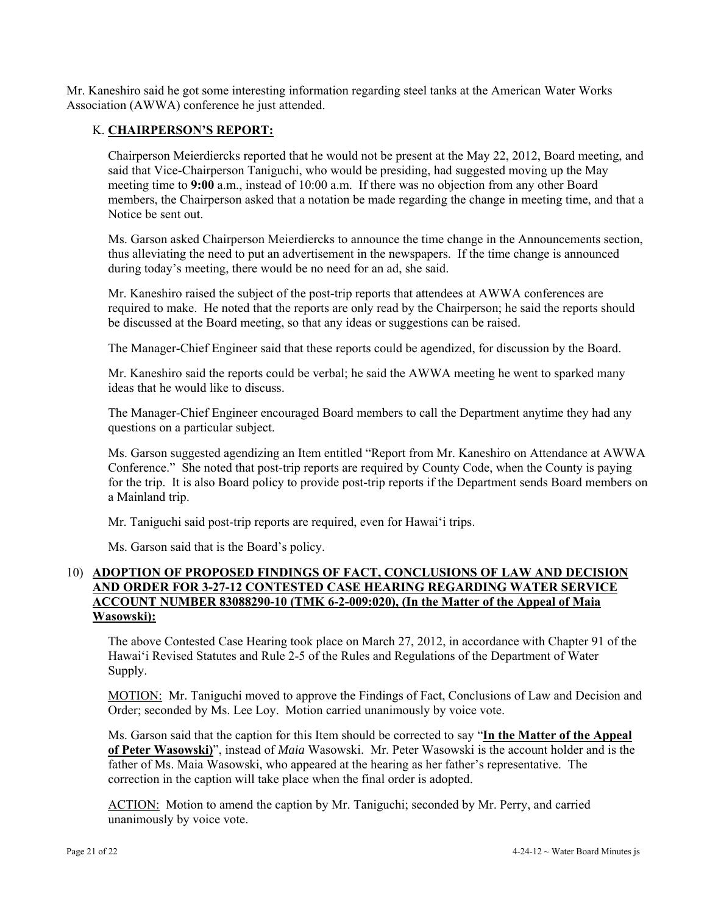Mr. Kaneshiro said he got some interesting information regarding steel tanks at the American Water Works Association (AWWA) conference he just attended.

## K. **CHAIRPERSON'S REPORT:**

Chairperson Meierdiercks reported that he would not be present at the May 22, 2012, Board meeting, and said that Vice-Chairperson Taniguchi, who would be presiding, had suggested moving up the May meeting time to **9:00** a.m., instead of 10:00 a.m. If there was no objection from any other Board members, the Chairperson asked that a notation be made regarding the change in meeting time, and that a Notice be sent out.

Ms. Garson asked Chairperson Meierdiercks to announce the time change in the Announcements section, thus alleviating the need to put an advertisement in the newspapers. If the time change is announced during today's meeting, there would be no need for an ad, she said.

Mr. Kaneshiro raised the subject of the post-trip reports that attendees at AWWA conferences are required to make. He noted that the reports are only read by the Chairperson; he said the reports should be discussed at the Board meeting, so that any ideas or suggestions can be raised.

The Manager-Chief Engineer said that these reports could be agendized, for discussion by the Board.

Mr. Kaneshiro said the reports could be verbal; he said the AWWA meeting he went to sparked many ideas that he would like to discuss.

The Manager-Chief Engineer encouraged Board members to call the Department anytime they had any questions on a particular subject.

Ms. Garson suggested agendizing an Item entitled "Report from Mr. Kaneshiro on Attendance at AWWA Conference." She noted that post-trip reports are required by County Code, when the County is paying for the trip. It is also Board policy to provide post-trip reports if the Department sends Board members on a Mainland trip.

Mr. Taniguchi said post-trip reports are required, even for Hawai'i trips.

Ms. Garson said that is the Board's policy.

## 10) **ADOPTION OF PROPOSED FINDINGS OF FACT, CONCLUSIONS OF LAW AND DECISION AND ORDER FOR 3-27-12 CONTESTED CASE HEARING REGARDING WATER SERVICE ACCOUNT NUMBER 83088290-10 (TMK 6-2-009:020), (In the Matter of the Appeal of Maia Wasowski):**

The above Contested Case Hearing took place on March 27, 2012, in accordance with Chapter 91 of the Hawai'i Revised Statutes and Rule 2-5 of the Rules and Regulations of the Department of Water Supply.

MOTION: Mr. Taniguchi moved to approve the Findings of Fact, Conclusions of Law and Decision and Order; seconded by Ms. Lee Loy. Motion carried unanimously by voice vote.

Ms. Garson said that the caption for this Item should be corrected to say "**In the Matter of the Appeal of Peter Wasowski)**", instead of *Maia* Wasowski. Mr. Peter Wasowski is the account holder and is the father of Ms. Maia Wasowski, who appeared at the hearing as her father's representative. The correction in the caption will take place when the final order is adopted.

ACTION: Motion to amend the caption by Mr. Taniguchi; seconded by Mr. Perry, and carried unanimously by voice vote.